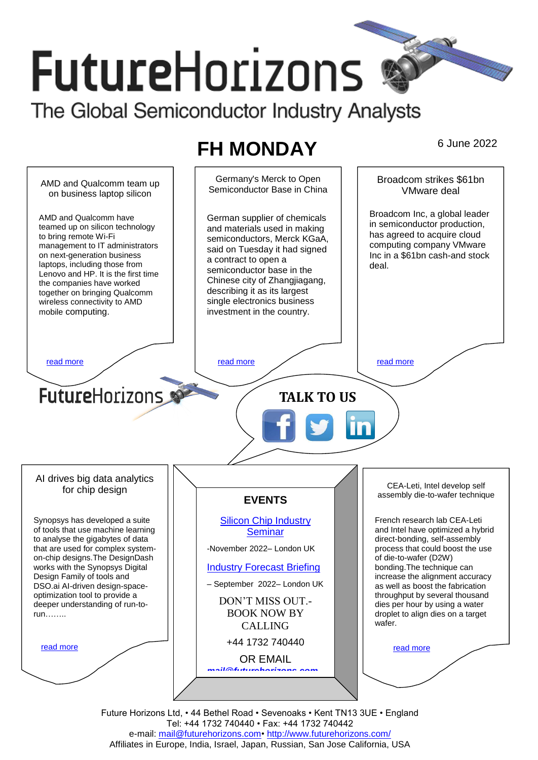# **FutureHorizons** The Global Semiconductor Industry Analysts

# **FH MONDAY** 6 June 2022



Future Horizons Ltd, • 44 Bethel Road • Sevenoaks • Kent TN13 3UE • England Tel: +44 1732 740440 • Fax: +44 1732 740442 e-mail: mail@futurehorizons.com• http://www.futurehorizons.com/ Affiliates in Europe, India, Israel, Japan, Russian, San Jose California, USA